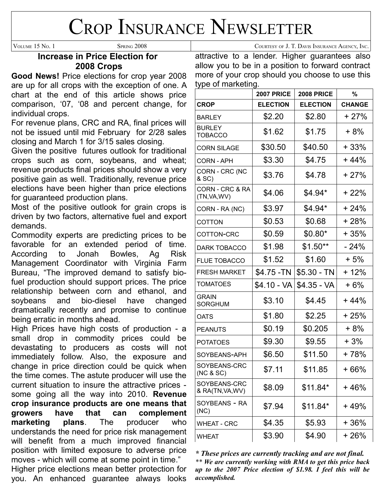# CROP INSURANCE NEWSLETTER

### **Increase in Price Election for 2008 Crops**

**Good News!** Price elections for crop year 2008 are up for all crops with the exception of one. A chart at the end of this article shows price comparison, '07, '08 and percent change, for individual crops.

For revenue plans, CRC and RA, final prices will not be issued until mid February for 2/28 sales closing and March 1 for 3/15 sales closing.

Given the positive futures outlook for traditional crops such as corn, soybeans, and wheat; revenue products final prices should show a very positive gain as well. Traditionally, revenue price elections have been higher than price elections for guaranteed production plans.

Most of the positive outlook for grain crops is driven by two factors, alternative fuel and export demands.

Commodity experts are predicting prices to be favorable for an extended period of time. According to Jonah Bowles, Ag Risk Management Coordinator with Virginia Farm Bureau, "The improved demand to satisfy biofuel production should support prices. The price relationship between corn and ethanol, and soybeans and bio-diesel have changed dramatically recently and promise to continue being erratic in months ahead.

High Prices have high costs of production - a small drop in commodity prices could be devastating to producers as costs will not immediately follow. Also, the exposure and change in price direction could be quick when the time comes. The astute producer will use the current situation to insure the attractive prices some going all the way into 2010. **Revenue crop insurance products are one means that growers have that can complement marketing plans**. The producer who understands the need for price risk management will benefit from a much improved financial position with limited exposure to adverse price moves - which will come at some point in time."

Higher price elections mean better protection for you. An enhanced guarantee always looks attractive to a lender. Higher guarantees also allow you to be in a position to forward contract more of your crop should you choose to use this type of marketing.

|                                            | <b>2007 PRICE</b> | <b>2008 PRICE</b> | $\%$          |
|--------------------------------------------|-------------------|-------------------|---------------|
| <b>CROP</b>                                | <b>ELECTION</b>   | <b>ELECTION</b>   | <b>CHANGE</b> |
| <b>BARLEY</b>                              | \$2.20            | \$2.80            | $+27%$        |
| <b>BURLEY</b><br><b>TOBACCO</b>            | \$1.62            | \$1.75            | + 8%          |
| <b>CORN SILAGE</b>                         | \$30.50           | \$40.50           | $+33%$        |
| <b>CORN - APH</b>                          | \$3.30            | \$4.75            | $+44%$        |
| CORN - CRC (NC<br>& SC)                    | \$3.76            | \$4.78            | $+27%$        |
| <b>CORN - CRC &amp; RA</b><br>(TN, VA, WV) | \$4.06            | \$4.94*           | $+22%$        |
| CORN - RA (NC)                             | \$3.97            | \$4.94*           | $+24%$        |
| <b>COTTON</b>                              | \$0.53            | \$0.68            | $+28%$        |
| COTTON-CRC                                 | \$0.59            | $$0.80*$          | $+35%$        |
| <b>DARK TOBACCO</b>                        | \$1.98            | $$1.50**$         | $-24%$        |
| <b>FLUE TOBACCO</b>                        | \$1.52            | \$1.60            | $+5%$         |
| <b>FRESH MARKET</b>                        | \$4.75 -TN        | $$5.30 - TN$      | + 12%         |
| <b>TOMATOES</b>                            | \$4.10 - VA       | $$4.35 - VA$      | $+6%$         |
| <b>GRAIN</b><br><b>SORGHUM</b>             | \$3.10            | \$4.45            | $+44%$        |
| <b>OATS</b>                                | \$1.80            | \$2.25            | $+25%$        |
| <b>PEANUTS</b>                             | \$0.19            | \$0.205           | $+8%$         |
| <b>POTATOES</b>                            | \$9.30            | \$9.55            | + 3%          |
| SOYBEANS-APH                               | \$6.50            | \$11.50           | + 78%         |
| SOYBEANS-CRC<br>(NC & SC)                  | \$7.11            | \$11.85           | $+66%$        |
| SOYBEANS-CRC<br>& RA(TN, VA, WV)           | \$8.09            | \$11.84*          | + 46%         |
| SOYBEANS - RA<br>(NC)                      | \$7.94            | \$11.84*          | $+49%$        |
| <b>WHEAT - CRC</b>                         | \$4.35            | \$5.93            | + 36%         |
| <b>WHEAT</b>                               | \$3.90            | \$4.90            | + 26%         |

*\* These prices are currently tracking and are not final. \*\* We are currently working with RMA to get this price back up to the 2007 Price election of \$1.98. I feel this will be accomplished.*

VOLUME 15 NO. 1 SPRING 2008 COURTESY OF J. T. DAVIS INSURANCE AGENCY, INC.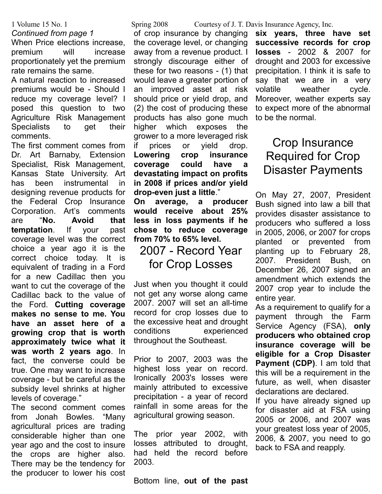#### *Continued from page 1*

When Price elections increase, premium will increase proportionately yet the premium rate remains the same.

A natural reaction to increased premiums would be - Should I reduce my coverage level? I posed this question to two Agriculture Risk Management Specialists to get their comments.

The first comment comes from Dr. Art Barnaby, Extension Specialist, Risk Management, Kansas State University. Art has been instrumental in designing revenue products for the Federal Crop Insurance Corporation. Art's comments are "**No. Avoid that temptation**. If your past coverage level was the correct choice a year ago it is the correct choice today. It is equivalent of trading in a Ford for a new Cadillac then you want to cut the coverage of the Cadillac back to the value of the Ford. **Cutting coverage makes no sense to me. You have an asset here of a growing crop that is worth approximately twice what it was worth 2 years ago**. In fact, the converse could be true. One may want to increase coverage - but be careful as the subsidy level shrinks at higher levels of coverage."

The second comment comes from Jonah Bowles. "Many agricultural prices are trading considerable higher than one year ago and the cost to insure the crops are higher also. There may be the tendency for the producer to lower his cost

of crop insurance by changing the coverage level, or changing away from a revenue product. I strongly discourage either of these for two reasons - (1) that would leave a greater portion of an improved asset at risk should price or yield drop, and (2) the cost of producing these products has also gone much higher which exposes the grower to a more leveraged risk if prices or yield drop. **Lowering crop insurance coverage could have a devastating impact on profits in 2008 if prices and/or yield drop-even just a little**."

**On average, a producer would receive about 25% less in loss payments if he chose to reduce coverage from 70% to 65% level.**

### 2007 - Record Year for Crop Losses

Just when you thought it could not get any worse along came 2007. 2007 will set an all-time record for crop losses due to the excessive heat and drought conditions experienced throughout the Southeast.

Prior to 2007, 2003 was the highest loss year on record. Ironically 2003's losses were mainly attributed to excessive precipitation - a year of record rainfall in some areas for the agricultural growing season.

The prior year 2002, with losses attributed to drought, had held the record before 2003.

Bottom line, **out of the past**

#### 1 Volume 15 No. 1 Spring 2008 Courtesy of J. T. Davis Insurance Agency, Inc.

**six years, three have set successive records for crop losses** - 2002 & 2007 for drought and 2003 for excessive precipitation. I think it is safe to say that we are in a very volatile weather cycle. Moreover, weather experts say to expect more of the abnormal to be the normal.

### Crop Insurance Required for Crop Disaster Payments

On May 27, 2007, President Bush signed into law a bill that provides disaster assistance to producers who suffered a loss in 2005, 2006, or 2007 for crops planted or prevented from planting up to February 28, 2007. President Bush, on December 26, 2007 signed an amendment which extends the 2007 crop year to include the entire year.

As a requirement to qualify for a payment through the Farm Service Agency (FSA), **only producers who obtained crop insurance coverage will be eligible for a Crop Disaster Payment (CDP)**. I am told that this will be a requirement in the future, as well, when disaster declarations are declared.

If you have already signed up for disaster aid at FSA using 2005 or 2006, and 2007 was your greatest loss year of 2005, 2006, & 2007, you need to go back to FSA and reapply.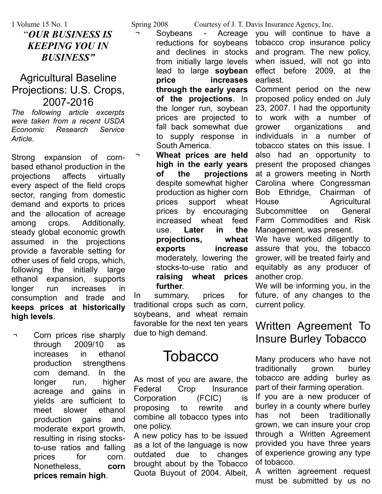"*OUR BUSINESS IS KEEPING YOU IN BUSINESS"*

### Agricultural Baseline Projections: U.S. Crops, 2007-2016

*The following article excerpts were taken from a recent USDA Economic Research Service Article.*

Strong expansion of cornbased ethanol production in the projections affects virtually every aspect of the field crops sector, ranging from domestic demand and exports to prices and the allocation of acreage among crops. Additionally, steady global economic growth assumed in the projections provide a favorable setting for other uses of field crops, which, following the initially large ethanol expansion, supports longer run increases in consumption and trade and **keeps prices at historically high levels**.

Corn prices rise sharply through 2009/10 as increases in ethanol production strengthens corn demand. In the longer run, higher acreage and gains in yields are sufficient to meet slower ethanol production gains and moderate export growth, resulting in rising stocksto-use ratios and falling prices for corn. Nonetheless, **corn prices remain high**.

Soybeans - Acreage reductions for soybeans and declines in stocks from initially large levels lead to large **soybean price increases through the early years of the projections**. In the longer run, soybean prices are projected to fall back somewhat due to supply response in South America.

Wheat prices are held **high in the early years of the projections** despite somewhat higher production as higher corn prices support wheat prices by encouraging increased wheat feed use. **Later in the projections, wheat exports increase** moderately, lowering the stocks-to-use ratio and **raising wheat prices further**.

In summary, prices for traditional crops such as corn, soybeans, and wheat remain favorable for the next ten years due to high demand.

## **Tobacco**

As most of you are aware, the Federal Crop Insurance Corporation (FCIC) is proposing to rewrite and combine all tobacco types into one policy.

A new policy has to be issued as a lot of the language is now outdated due to changes brought about by the Tobacco Quota Buyout of 2004. Albeit,

1 Volume 15 No. 1 Spring 2008 Courtesy of J. T. Davis Insurance Agency, Inc.

you will continue to have a tobacco crop insurance policy and program. The new policy, when issued, will not go into effect before 2009, at the earliest.

Comment period on the new proposed policy ended on July 23, 2007. I had the opportunity to work with a number of grower organizations and individuals in a number of tobacco states on this issue. I also had an opportunity to present the proposed changes at a growers meeting in North Carolina where Congressman Bob Ethridge, Chairman of House Agricultural Subcommittee on General Farm Commodities and Risk Management, was present.

We have worked diligently to assure that you, the tobacco grower, will be treated fairly and equitably as any producer of another crop.

We will be informing you, in the future, of any changes to the current policy.

### Written Agreement To Insure Burley Tobacco

Many producers who have not traditionally grown burley tobacco are adding burley as part of their farming operation.

If you are a new producer of burley in a county where burley has not been traditionally grown, we can insure your crop through a Written Agreement provided you have three years of experience growing any type of tobacco.

A written agreement request must be submitted by us no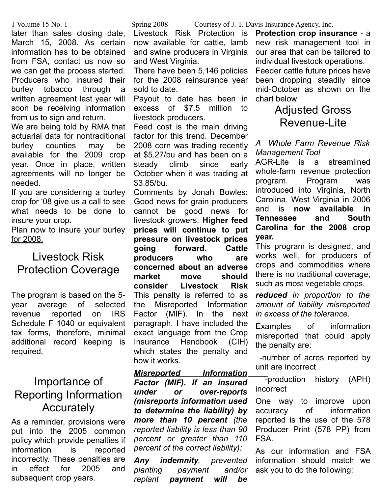later than sales closing date, March 15, 2008. As certain information has to be obtained from FSA, contact us now so we can get the process started. Producers who insured their burley tobacco through a written agreement last year will soon be receiving information from us to sign and return.

We are being told by RMA that actuarial data for nontraditional burley counties may be available for the 2009 crop year. Once in place, written agreements will no longer be needed.

If you are considering a burley crop for '08 give us a call to see what needs to be done to insure your crop.

Plan now to insure your burley for 2008.

### Livestock Risk Protection Coverage

The program is based on the 5 year average of selected revenue reported on IRS Schedule F 1040 or equivalent tax forms, therefore, minimal additional record keeping is required.

### Importance of Reporting Information **Accurately**

As a reminder, provisions were put into the 2005 common policy which provide penalties if information is reported incorrectly. These penalties are in effect for 2005 and subsequent crop years.

Livestock Risk Protection is now available for cattle, lamb and swine producers in Virginia and West Virginia.

There have been 5,146 policies for the 2008 reinsurance year sold to date.

Payout to date has been in excess of \$7.5 million to livestock producers.

Feed cost is the main driving factor for this trend. December 2008 corn was trading recently at \$5.27/bu and has been on a steady climb since early October when it was trading at \$3.85/bu.

Comments by Jonah Bowles: Good news for grain producers cannot be good news for livestock growers. **Higher feed prices will continue to put pressure on livestock prices going forward. Cattle producers who are concerned about an adverse market move should consider Livestock Risk** This penalty is referred to as the Misreported Information Factor (MIF). In the next paragraph, I have included the exact language from the Crop Insurance Handbook (CIH) which states the penalty and how it works.

*Misreported Information Factor (MIF). If an insured under or over-reports (misreports information used to determine the liability) by more than 10 percent (the reported liability is less than 90 percent or greater than 110 percent of the correct liability):*

*Any indemnity, prevented planting payment and/or replant payment will be*

1 Volume 15 No. 1 Spring 2008 Courtesy of J. T. Davis Insurance Agency, Inc.

**Protection crop insurance** - a new risk management tool in our area that can be tailored to individual livestock operations.

Feeder cattle future prices have been dropping steadily since mid-October as shown on the chart below

### Adjusted Gross Revenue-Lite

*A Whole Farm Revenue Risk Management Tool*

AGR-Lite is a streamlined whole-farm revenue protection program. Program was introduced into Virginia, North Carolina, West Virginia in 2006 and is **now available in Tennessee and South Carolina for the 2008 crop year.**

This program is designed, and works well, for producers of crops and commodities where there is no traditional coverage, such as most vegetable crops.

*reduced in proportion to the amount of liability misreported in excess of the tolerance.*

Examples of information misreported that could apply the penalty are:

 -number of acres reported by unit are incorrect

 -production history (APH) incorrect

One way to improve upon accuracy of information reported is the use of the 578 Producer Print (578 PP) from FSA.

As our information and FSA information should match we ask you to do the following: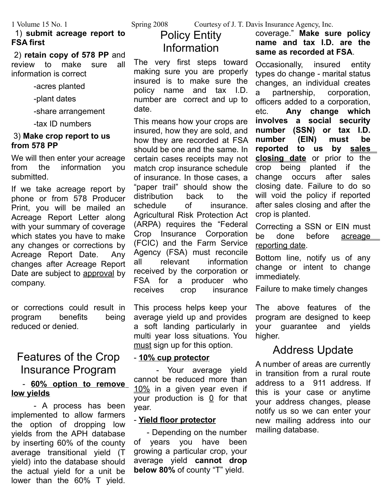#### 1) **submit acreage report to FSA first**

 2) **retain copy of 578 PP** and review to make sure all information is correct

-acres planted

-plant dates

-share arrangement

-tax ID numbers

#### 3) **Make crop report to us from 578 PP**

We will then enter your acreage from the information you submitted.

If we take acreage report by phone or from 578 Producer Print, you will be mailed an Acreage Report Letter along with your summary of coverage which states you have to make any changes or corrections by Acreage Report Date. Any changes after Acreage Report Date are subject to approval by company.

or corrections could result in program benefits being reduced or denied.

### Features of the Crop Insurance Program

### - **60% option to remove low yields**

- A process has been implemented to allow farmers the option of dropping low yields from the APH database by inserting 60% of the county average transitional yield (T yield) into the database should the actual yield for a unit be lower than the 60% T yield.

1 Volume 15 No. 1 Spring 2008 Courtesy of J. T. Davis Insurance Agency, Inc.

### Policy Entity Information

The very first steps toward making sure you are properly insured is to make sure the policy name and tax I.D. number are correct and up to date.

This means how your crops are insured, how they are sold, and how they are recorded at FSA should be one and the same. In certain cases receipts may not match crop insurance schedule of insurance. In those cases, a "paper trail" should show the distribution back to the schedule of insurance. Agricultural Risk Protection Act (ARPA) requires the "Federal Crop Insurance Corporation (FCIC) and the Farm Service Agency (FSA) must reconcile all relevant information received by the corporation or FSA for a producer who receives crop insurance

This process helps keep your average yield up and provides a soft landing particularly in multi year loss situations. You must sign up for this option.

#### - **10% cup protector**

- Your average yield cannot be reduced more than 10% in a given year even if your production is  $0$  for that year.

#### - **Yield floor protector**

 - Depending on the number of years you have been growing a particular crop, your average yield **cannot drop below 80%** of county "T" yield.

coverage." **Make sure policy name and tax I.D. are the same as recorded at FSA**.

Occasionally, insured entity types do change - marital status changes, an individual creates a partnership, corporation, officers added to a corporation, etc. **Any change which involves a social security number (SSN) or tax I.D. number (EIN) must be reported to us by sales closing date** or prior to the crop being planted if the change occurs after sales closing date. Failure to do so will void the policy if reported after sales closing and after the crop is planted.

Correcting a SSN or EIN must be done before acreage reporting date.

Bottom line, notify us of any change or intent to change immediately.

Failure to make timely changes

The above features of the program are designed to keep your guarantee and yields higher.

### Address Update

A number of areas are currently in transition from a rural route address to a 911 address. If this is your case or anytime your address changes, please notify us so we can enter your new mailing address into our mailing database.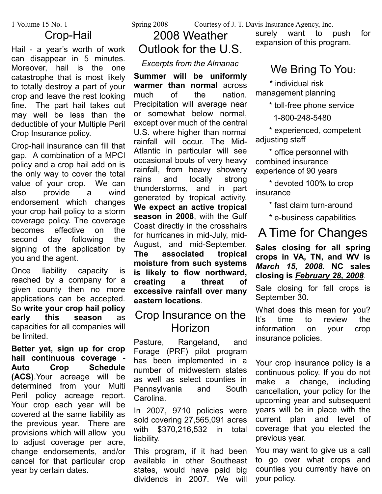### Crop-Hail

Hail - a year's worth of work can disappear in 5 minutes. Moreover, hail is the one catastrophe that is most likely to totally destroy a part of your crop and leave the rest looking fine. The part hail takes out may well be less than the deductible of your Multiple Peril Crop Insurance policy.

Crop-hail insurance can fill that gap. A combination of a MPCI policy and a crop hail add on is the only way to cover the total value of your crop. We can also provide a wind endorsement which changes your crop hail policy to a storm coverage policy. The coverage becomes effective on the second day following the signing of the application by you and the agent.

Once liability capacity is reached by a company for a given county then no more applications can be accepted. So **write your crop hail policy early this season** as capacities for all companies will be limited.

**Better yet, sign up for crop hail continuous coverage - Auto Crop Schedule (ACS)**.Your acreage will be determined from your Multi Peril policy acreage report. Your crop each year will be covered at the same liability as the previous year. There are provisions which will allow you to adjust coverage per acre, change endorsements, and/or cancel for that particular crop year by certain dates.

1 Volume 15 No. 1 Spring 2008 Courtesy of J. T. Davis Insurance Agency, Inc.

## 2008 Weather Outlook for the U.S.

### *Excerpts from the Almanac*

**Summer will be uniformly warmer than normal** across much of the nation. Precipitation will average near or somewhat below normal, except over much of the central U.S. where higher than normal rainfall will occur. The Mid-Atlantic in particular will see occasional bouts of very heavy rainfall, from heavy showery rains and locally strong thunderstorms, and in part generated by tropical activity. **We expect an active tropical season in 2008**, with the Gulf Coast directly in the crosshairs for hurricanes in mid-July, mid-August, and mid-September. **The associated tropical moisture from such systems is likely to flow northward, creating a threat of excessive rainfall over many eastern locations**.

### Crop Insurance on the Horizon

Pasture, Rangeland, and Forage (PRF) pilot program has been implemented in a number of midwestern states as well as select counties in Pennsylvania and South Carolina.

In 2007, 9710 policies were sold covering 27,565,091 acres with \$370,216,532 in total liability.

This program, if it had been available in other Southeast states, would have paid big dividends in 2007. We will

surely want to push for expansion of this program.

### We Bring To You:

 \* individual risk management planning

\* toll-free phone service

1-800-248-5480

 \* experienced, competent adjusting staff

 \* office personnel with combined insurance experience of 90 years

 \* devoted 100% to crop insurance

\* fast claim turn-around

\* e-business capabilities

## A Time for Changes

**Sales closing for all spring crops in VA, TN, and WV is** *March 15, 2008.* **NC sales closing is** *February 28, 2008*.

Sale closing for fall crops is September 30.

What does this mean for you? It's time to review the information on your crop insurance policies.

Your crop insurance policy is a continuous policy. If you do not make a change, including cancellation, your policy for the upcoming year and subsequent years will be in place with the current plan and level of coverage that you elected the previous year.

You may want to give us a call to go over what crops and counties you currently have on your policy.